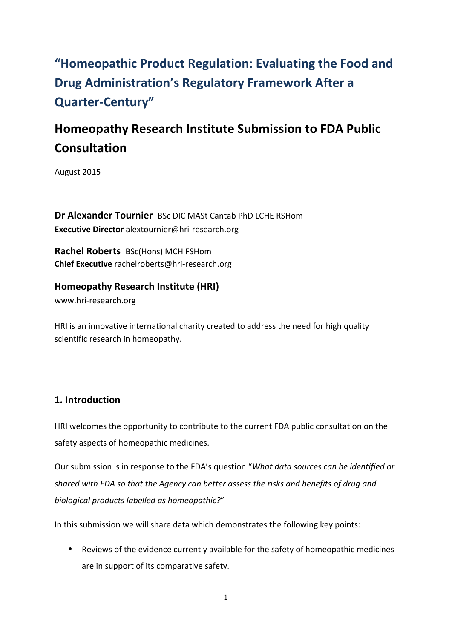# "Homeopathic Product Regulation: Evaluating the Food and **Drug Administration's Regulatory Framework After a Quarter-Century"**

# **Homeopathy Research Institute Submission to FDA Public Consultation**

August 2015

**Dr Alexander Tournier** BSc DIC MASt Cantab PhD LCHE RSHom **Executive Director** alextournier@hri-research.org

**Rachel Roberts** BSc(Hons) MCH FSHom **Chief Executive** rachelroberts@hri-research.org

**Homeopathy Research Institute (HRI)** www.hri-research.org 

HRI is an innovative international charity created to address the need for high quality scientific research in homeopathy.

## **1. Introduction**

HRI welcomes the opportunity to contribute to the current FDA public consultation on the safety aspects of homeopathic medicines.

Our submission is in response to the FDA's question "What data sources can be identified or *shared* with FDA so that the Agency can better assess the risks and benefits of drug and *biological products labelled as homeopathic?*"

In this submission we will share data which demonstrates the following key points:

• Reviews of the evidence currently available for the safety of homeopathic medicines are in support of its comparative safety.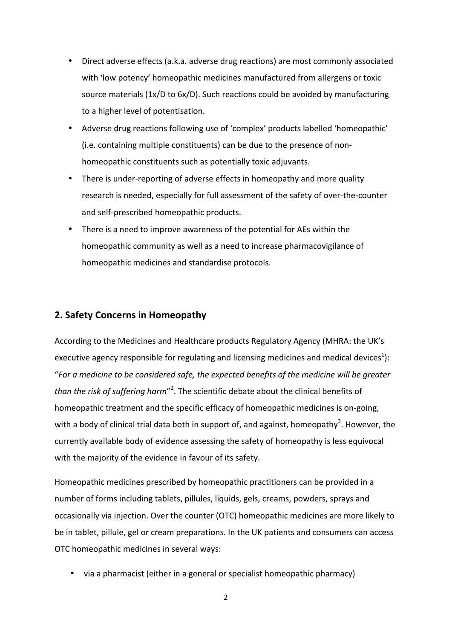- Direct adverse effects (a.k.a. adverse drug reactions) are most commonly associated with 'low potency' homeopathic medicines manufactured from allergens or toxic source materials (1x/D to 6x/D). Such reactions could be avoided by manufacturing to a higher level of potentisation.
- Adverse drug reactions following use of 'complex' products labelled 'homeopathic' (i.e. containing multiple constituents) can be due to the presence of nonhomeopathic constituents such as potentially toxic adjuvants.
- There is under-reporting of adverse effects in homeopathy and more quality research is needed, especially for full assessment of the safety of over-the-counter and self-prescribed homeopathic products.
- There is a need to improve awareness of the potential for AEs within the homeopathic community as well as a need to increase pharmacovigilance of homeopathic medicines and standardise protocols.

#### **2. Safety Concerns in Homeopathy**

According to the Medicines and Healthcare products Regulatory Agency (MHRA: the UK's executive agency responsible for regulating and licensing medicines and medical devices<sup>1</sup>): "For a medicine to be considered safe, the expected benefits of the medicine will be greater than the risk of suffering harm<sup>"2</sup>. The scientific debate about the clinical benefits of homeopathic treatment and the specific efficacy of homeopathic medicines is on-going, with a body of clinical trial data both in support of, and against, homeopathy<sup>3</sup>. However, the currently available body of evidence assessing the safety of homeopathy is less equivocal with the majority of the evidence in favour of its safety.

Homeopathic medicines prescribed by homeopathic practitioners can be provided in a number of forms including tablets, pillules, liquids, gels, creams, powders, sprays and occasionally via injection. Over the counter (OTC) homeopathic medicines are more likely to be in tablet, pillule, gel or cream preparations. In the UK patients and consumers can access OTC homeopathic medicines in several ways:

• via a pharmacist (either in a general or specialist homeopathic pharmacy)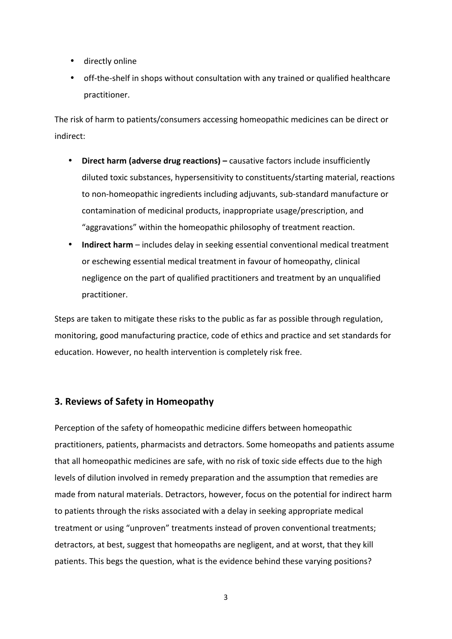- directly online
- off-the-shelf in shops without consultation with any trained or qualified healthcare practitioner.

The risk of harm to patients/consumers accessing homeopathic medicines can be direct or indirect:

- Direct harm (adverse drug reactions) causative factors include insufficiently diluted toxic substances, hypersensitivity to constituents/starting material, reactions to non-homeopathic ingredients including adjuvants, sub-standard manufacture or contamination of medicinal products, inappropriate usage/prescription, and "aggravations" within the homeopathic philosophy of treatment reaction.
- **Indirect harm** includes delay in seeking essential conventional medical treatment or eschewing essential medical treatment in favour of homeopathy, clinical negligence on the part of qualified practitioners and treatment by an unqualified practitioner.

Steps are taken to mitigate these risks to the public as far as possible through regulation, monitoring, good manufacturing practice, code of ethics and practice and set standards for education. However, no health intervention is completely risk free.

### **3. Reviews of Safety in Homeopathy**

Perception of the safety of homeopathic medicine differs between homeopathic practitioners, patients, pharmacists and detractors. Some homeopaths and patients assume that all homeopathic medicines are safe, with no risk of toxic side effects due to the high levels of dilution involved in remedy preparation and the assumption that remedies are made from natural materials. Detractors, however, focus on the potential for indirect harm to patients through the risks associated with a delay in seeking appropriate medical treatment or using "unproven" treatments instead of proven conventional treatments; detractors, at best, suggest that homeopaths are negligent, and at worst, that they kill patients. This begs the question, what is the evidence behind these varying positions?

3